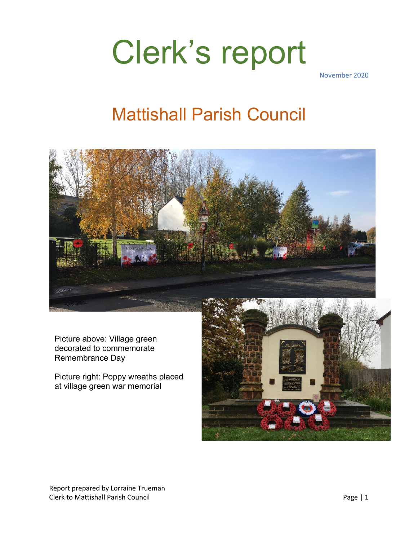# Clerk's report

November 2020

### Mattishall Parish Council



Picture above: Village green decorated to commemorate Remembrance Day

Picture right: Poppy wreaths placed at village green war memorial

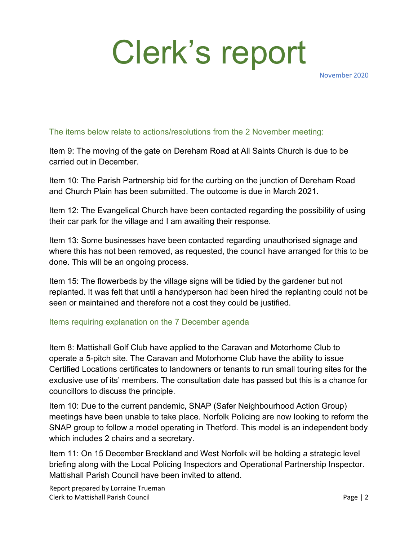# Clerk's report

November 2020

#### The items below relate to actions/resolutions from the 2 November meeting:

Item 9: The moving of the gate on Dereham Road at All Saints Church is due to be carried out in December.

Item 10: The Parish Partnership bid for the curbing on the junction of Dereham Road and Church Plain has been submitted. The outcome is due in March 2021.

Item 12: The Evangelical Church have been contacted regarding the possibility of using their car park for the village and I am awaiting their response.

Item 13: Some businesses have been contacted regarding unauthorised signage and where this has not been removed, as requested, the council have arranged for this to be done. This will be an ongoing process.

Item 15: The flowerbeds by the village signs will be tidied by the gardener but not replanted. It was felt that until a handyperson had been hired the replanting could not be seen or maintained and therefore not a cost they could be justified.

#### Items requiring explanation on the 7 December agenda

Item 8: Mattishall Golf Club have applied to the Caravan and Motorhome Club to operate a 5-pitch site. The Caravan and Motorhome Club have the ability to issue Certified Locations certificates to landowners or tenants to run small touring sites for the exclusive use of its' members. The consultation date has passed but this is a chance for councillors to discuss the principle.

Item 10: Due to the current pandemic, SNAP (Safer Neighbourhood Action Group) meetings have been unable to take place. Norfolk Policing are now looking to reform the SNAP group to follow a model operating in Thetford. This model is an independent body which includes 2 chairs and a secretary.

Item 11: On 15 December Breckland and West Norfolk will be holding a strategic level briefing along with the Local Policing Inspectors and Operational Partnership Inspector. Mattishall Parish Council have been invited to attend.